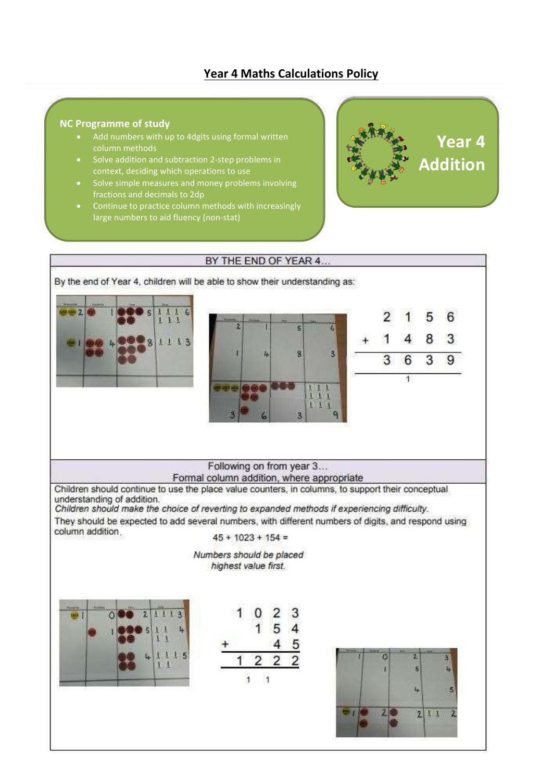# **Year 4 Maths Calculations Policy**

#### **NC Programme of study**

- Add numbers with up to 4dgits using formal written column methods
- Solve addition and subtraction 2-step problems in context, deciding which operations to use
- Solve simple measures and money problems involving fractions and decimals to 2dp
- Continue to practice column methods with increasingly large numbers to aid fluency (non-stat)



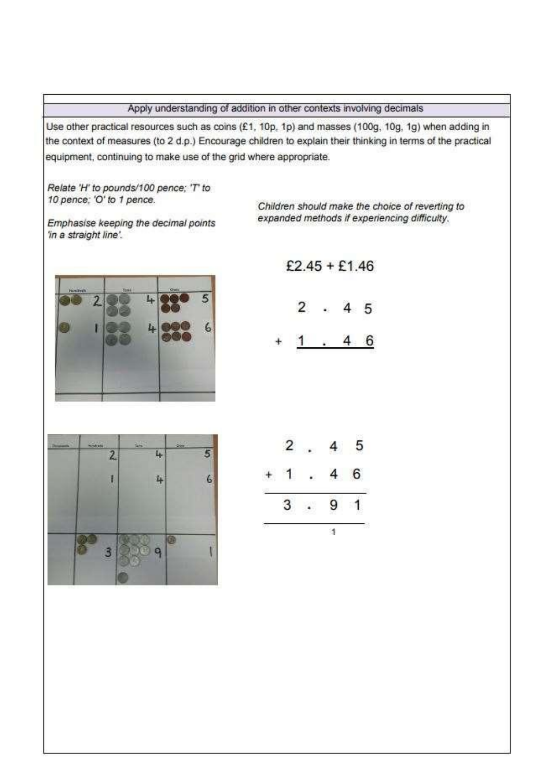## Apply understanding of addition in other contexts involving decimals

Use other practical resources such as coins (£1, 10p, 1p) and masses (100g, 10g, 1g) when adding in the context of measures (to 2 d.p.) Encourage children to explain their thinking in terms of the practical equipment, continuing to make use of the grid where appropriate.

Relate 'H' to pounds/100 pence; 'T' to 10 pence; 'O' to 1 pence.

Emphasise keeping the decimal points 'in a straight line'.

Children should make the choice of reverting to expanded methods if experiencing difficulty.



| $£2.45 + £1.46$ |  |  |
|-----------------|--|--|
|                 |  |  |



4 6



|        | ī<br>с |   | 95<br>v | 호<br>C      |
|--------|--------|---|---------|-------------|
| r<br>œ |        | w | - 1     | 5<br>v<br>7 |
|        |        |   | ÷       | it is       |
|        |        |   |         |             |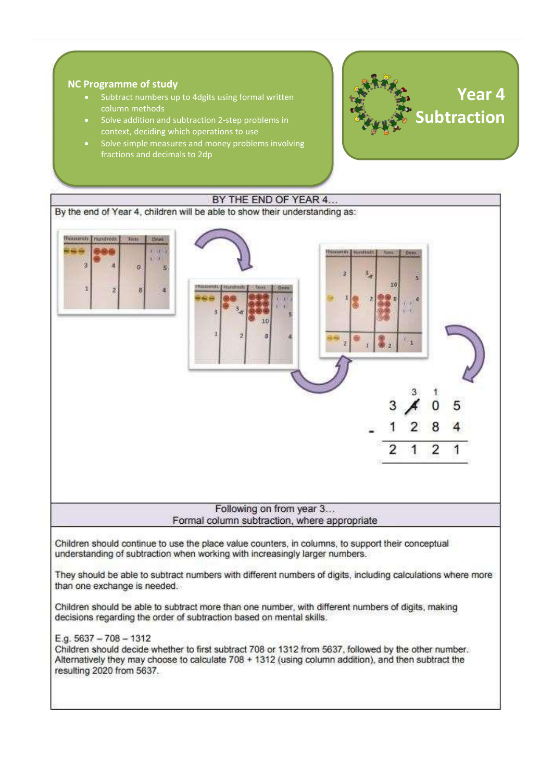### **NC Programme of study**

- Subtract numbers up to 4dgits using formal written column methods
- Solve addition and subtraction 2 -step problems in context, deciding which operations to use
- Solve simple measures and money problems involving fractions and decimals to 2dp



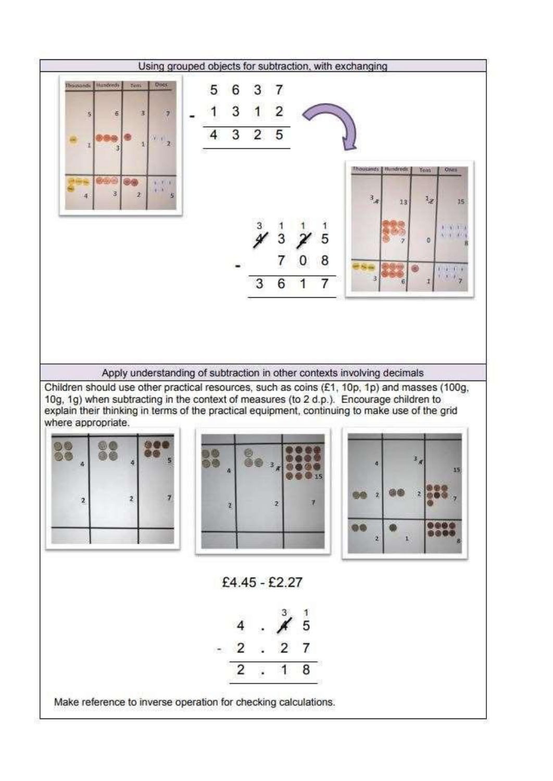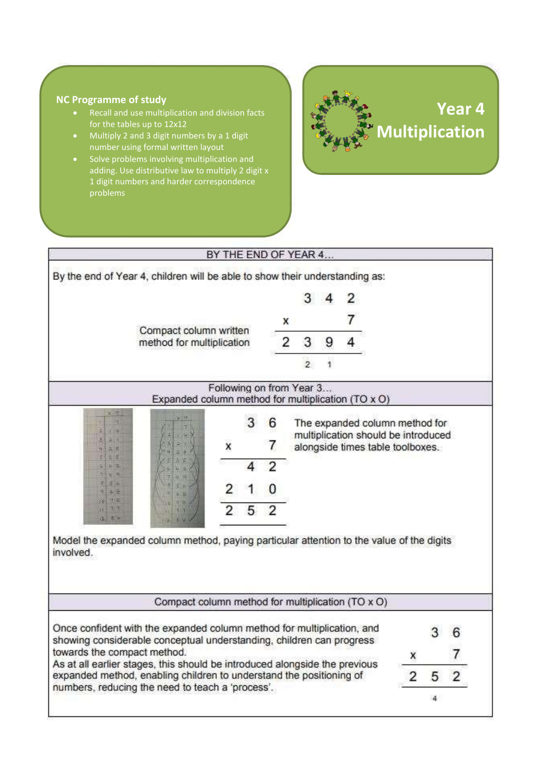# **NC Programme of study**

- Recall and use multiplication and division facts for the tables up to 12x12
- Multiply 2 and 3 digit numbers by a 1 digit number using formal written layout
- Solve problems involving multiplication and adding. Use distributive law to multiply 2 digit x 1 digit numbers and harder correspondence

# **Year 4 Multiplication**

|                             | By the end of Year 4, children will be able to show their understanding as:                                                                    |                          |   |   |   |   |   |                                                                         |   |   |                |
|-----------------------------|------------------------------------------------------------------------------------------------------------------------------------------------|--------------------------|---|---|---|---|---|-------------------------------------------------------------------------|---|---|----------------|
|                             |                                                                                                                                                |                          |   |   |   |   |   |                                                                         |   |   |                |
|                             |                                                                                                                                                |                          |   |   | x |   |   |                                                                         |   |   |                |
|                             | Compact column written<br>method for multiplication                                                                                            |                          |   |   | 2 | 3 | 9 |                                                                         |   |   |                |
|                             |                                                                                                                                                |                          |   |   |   | 2 |   |                                                                         |   |   |                |
|                             | Expanded column method for multiplication (TO x O)                                                                                             | Following on from Year 3 |   |   |   |   |   |                                                                         |   |   |                |
|                             |                                                                                                                                                |                          | 3 | 6 |   |   |   | The expanded column method for                                          |   |   |                |
|                             |                                                                                                                                                | x                        |   |   |   |   |   | multiplication should be introduced<br>alongside times table toolboxes. |   |   |                |
|                             |                                                                                                                                                |                          |   |   |   |   |   |                                                                         |   |   |                |
| 新世                          |                                                                                                                                                |                          |   |   |   |   |   |                                                                         |   |   |                |
| 병족<br>œ                     |                                                                                                                                                | 2                        | 5 |   |   |   |   |                                                                         |   |   |                |
| n.                          | Model the expanded column method, paying particular attention to the value of the digits                                                       |                          |   |   |   |   |   |                                                                         |   |   |                |
| involved.                   |                                                                                                                                                |                          |   |   |   |   |   |                                                                         |   |   |                |
|                             |                                                                                                                                                |                          |   |   |   |   |   |                                                                         |   |   |                |
|                             | Compact column method for multiplication (TO x O)                                                                                              |                          |   |   |   |   |   |                                                                         |   |   |                |
|                             |                                                                                                                                                |                          |   |   |   |   |   |                                                                         |   |   |                |
|                             |                                                                                                                                                |                          |   |   |   |   |   |                                                                         |   |   |                |
|                             | Once confident with the expanded column method for multiplication, and<br>showing considerable conceptual understanding, children can progress |                          |   |   |   |   |   |                                                                         |   |   |                |
|                             | As at all earlier stages, this should be introduced alongside the previous                                                                     |                          |   |   |   |   |   |                                                                         | x |   |                |
| towards the compact method. | expanded method, enabling children to understand the positioning of<br>numbers, reducing the need to teach a 'process'.                        |                          |   |   |   |   |   |                                                                         | 2 | 5 | $\overline{2}$ |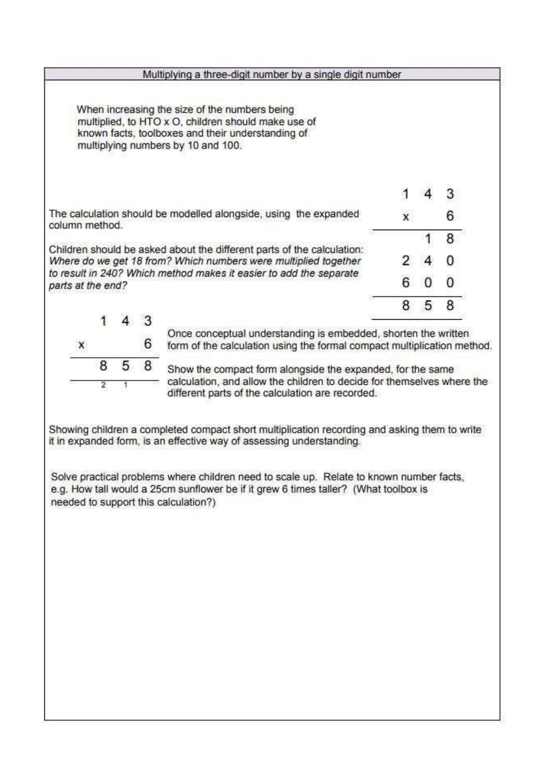|                   |   |   |   | Multiplying a three-digit number by a single digit number                                                                                                                                       |   |   |   |
|-------------------|---|---|---|-------------------------------------------------------------------------------------------------------------------------------------------------------------------------------------------------|---|---|---|
|                   |   |   |   | When increasing the size of the numbers being<br>multiplied, to HTO x O, children should make use of<br>known facts, toolboxes and their understanding of<br>multiplying numbers by 10 and 100. |   |   |   |
|                   |   |   |   |                                                                                                                                                                                                 |   |   |   |
| column method.    |   |   |   | The calculation should be modelled alongside, using the expanded                                                                                                                                | x |   | 6 |
|                   |   |   |   |                                                                                                                                                                                                 |   |   | 8 |
|                   |   |   |   | Children should be asked about the different parts of the calculation:<br>Where do we get 18 from? Which numbers were multiplied together                                                       |   |   | o |
| parts at the end? |   |   |   | to result in 240? Which method makes it easier to add the separate                                                                                                                              |   |   | O |
|                   |   |   |   |                                                                                                                                                                                                 |   | 5 | 8 |
|                   |   |   |   |                                                                                                                                                                                                 |   |   |   |
| x                 |   |   | 6 | Once conceptual understanding is embedded, shorten the written<br>form of the calculation using the formal compact multiplication method.                                                       |   |   |   |
|                   | 8 | 5 | 8 | Show the compact form alongside the expanded, for the same                                                                                                                                      |   |   |   |
|                   |   |   |   | calculation, and allow the children to decide for themselves where the                                                                                                                          |   |   |   |

Showing children a completed compact short multiplication recording and asking them to write it in expanded form, is an effective way of assessing understanding.

Solve practical problems where children need to scale up. Relate to known number facts, e.g. How tall would a 25cm sunflower be if it grew 6 times taller? (What toolbox is needed to support this calculation?)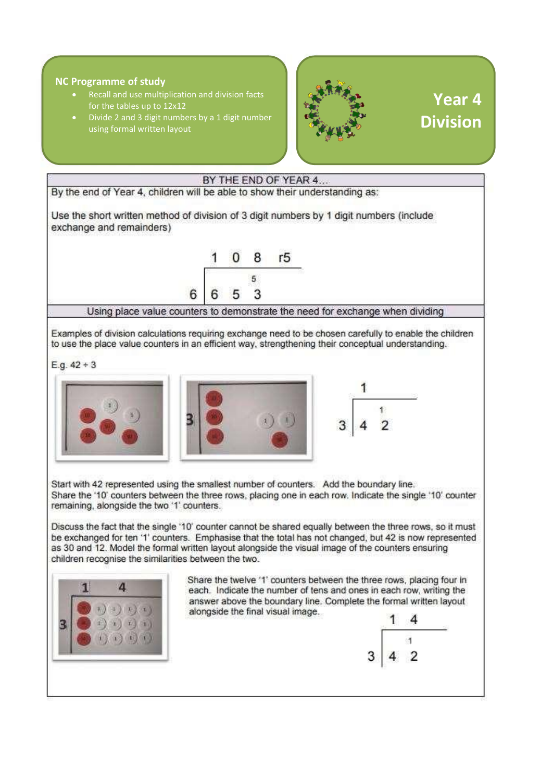#### **NC Programme of study**

- Recall and use multiplication and division facts for the tables up to 12x12
- Divide 2 and 3 digit numbers by a 1 digit number using formal written layout



# **Year 4 Division**